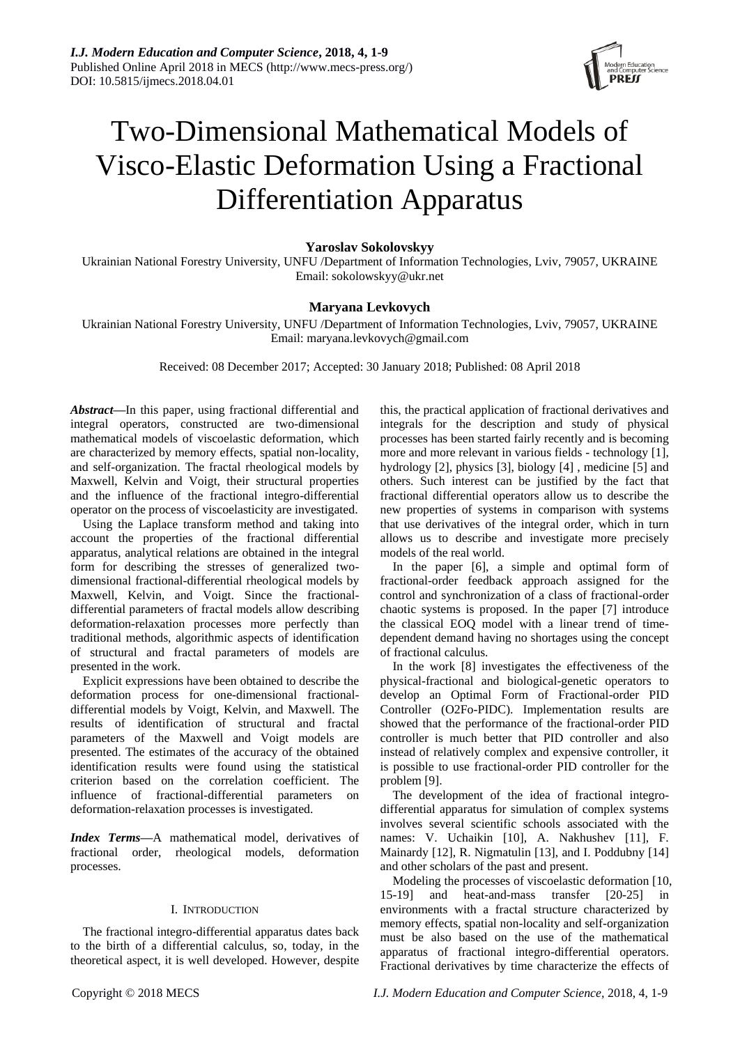

# Two-Dimensional Mathematical Models of Visco-Elastic Deformation Using a Fractional Differentiation Apparatus

# **Yaroslav Sokolovskyy**

Ukrainian National Forestry University, UNFU /Department of Information Technologies, Lviv, 79057, UKRAINE Email: sokolowskyy@ukr.net

# **Maryana Levkovych**

Ukrainian National Forestry University, UNFU /Department of Information Technologies, Lviv, 79057, UKRAINE Email: [maryana.levkovych@gmail.com](mailto:maryana.levkovych@gmail.com)

Received: 08 December 2017; Accepted: 30 January 2018; Published: 08 April 2018

*Abstract***—**In this paper, using fractional differential and integral operators, constructed are two-dimensional mathematical models of viscoelastic deformation, which are characterized by memory effects, spatial non-locality, and self-organization. The fractal rheological models by Maxwell, Kelvin and Voigt, their structural properties and the influence of the fractional integro-differential operator on the process of viscoelasticity are investigated.

Using the Laplace transform method and taking into account the properties of the fractional differential apparatus, analytical relations are obtained in the integral form for describing the stresses of generalized twodimensional fractional-differential rheological models by Maxwell, Kelvin, and Voigt. Since the fractionaldifferential parameters of fractal models allow describing deformation-relaxation processes more perfectly than traditional methods, algorithmic aspects of identification of structural and fractal parameters of models are presented in the work.

Explicit expressions have been obtained to describe the deformation process for one-dimensional fractionaldifferential models by Voigt, Kelvin, and Maxwell. The results of identification of structural and fractal parameters of the Maxwell and Voigt models are presented. The estimates of the accuracy of the obtained identification results were found using the statistical criterion based on the correlation coefficient. The influence of fractional-differential parameters on deformation-relaxation processes is investigated.

*Index Terms—*A mathematical model, derivatives of fractional order, rheological models, deformation processes.

# I. INTRODUCTION

The fractional integro-differential apparatus dates back to the birth of a differential calculus, so, today, in the theoretical aspect, it is well developed. However, despite integrals for the description and study of physical processes has been started fairly recently and is becoming more and more relevant in various fields - technology [1], hydrology [2], physics [3], biology [4] , medicine [5] and others. Such interest can be justified by the fact that fractional differential operators allow us to describe the new properties of systems in comparison with systems that use derivatives of the integral order, which in turn allows us to describe and investigate more precisely models of the real world.

this, the practical application of fractional derivatives and

In the paper [6], a simple and optimal form of fractional-order feedback approach assigned for the control and synchronization of a class of fractional-order chaotic systems is proposed. In the paper [7] introduce the classical EOQ model with a linear trend of timedependent demand having no shortages using the concept of fractional calculus.

In the work [8] investigates the effectiveness of the physical-fractional and biological-genetic operators to develop an Optimal Form of Fractional-order PID Controller (O2Fo-PIDC). Implementation results are showed that the performance of the fractional-order PID controller is much better that PID controller and also instead of relatively complex and expensive controller, it is possible to use fractional-order PID controller for the problem [9].

The development of the idea of fractional integrodifferential apparatus for simulation of complex systems involves several scientific schools associated with the names: V. Uchaikin [10], A. Nakhushev [11], F. Mainardy [12], R. Nigmatulin [13], and I. Poddubny [14] and other scholars of the past and present.

Modeling the processes of viscoelastic deformation [10, 15-19] and heat-and-mass transfer [20-25] in environments with a fractal structure characterized by memory effects, spatial non-locality and self-organization must be also based on the use of the mathematical apparatus of fractional integro-differential operators. Fractional derivatives by time characterize the effects of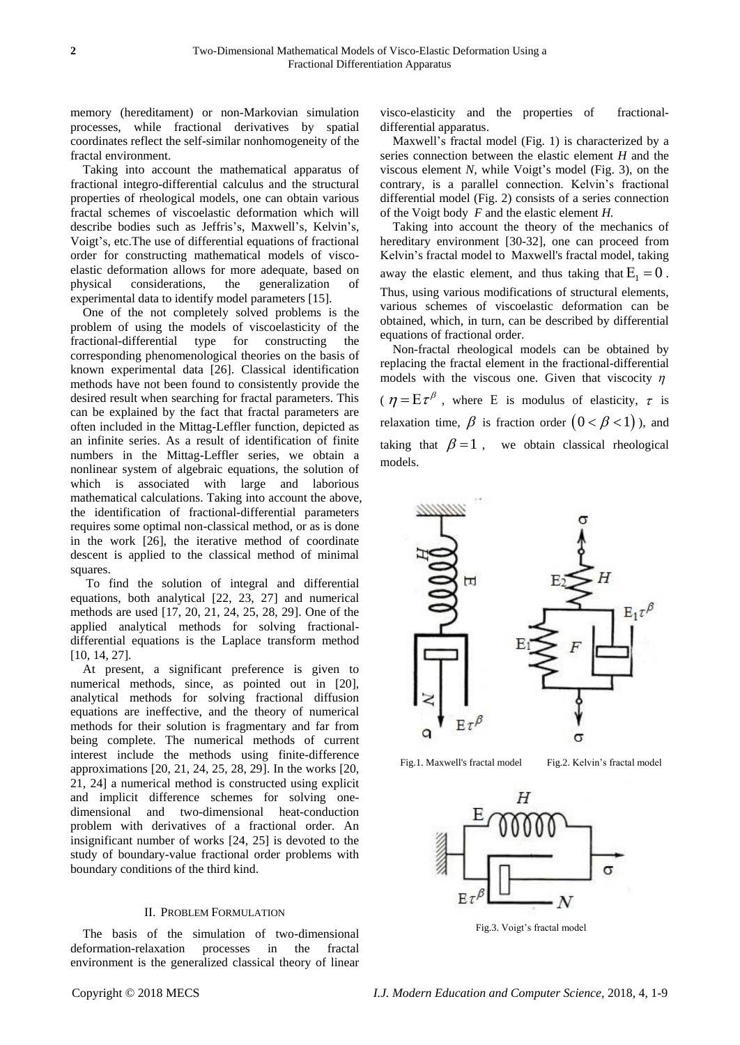memory (hereditament) or non-Markovian simulation processes, while fractional derivatives by spatial coordinates reflect the self-similar nonhomogeneity of the fractal environment.

Taking into account the mathematical apparatus of fractional integro-differential calculus and the structural properties of rheological models, one can obtain various fractal schemes of viscoelastic deformation which will describe bodies such as Jeffris's, Maxwell's, Kelvin's, Voigt's, etc.The use of differential equations of fractional order for constructing mathematical models of viscoelastic deformation allows for more adequate, based on physical considerations, the generalization of experimental data to identify model parameters [15].

One of the not completely solved problems is the problem of using the models of viscoelasticity of the fractional-differential type for constructing the corresponding phenomenological theories on the basis of known experimental data [26]. Classical identification methods have not been found to consistently provide the desired result when searching for fractal parameters. This can be explained by the fact that fractal parameters are often included in the Mittag-Leffler function, depicted as an infinite series. As a result of identification of finite numbers in the Mittag-Leffler series, we obtain a nonlinear system of algebraic equations, the solution of which is associated with large and laborious mathematical calculations. Taking into account the above, the identification of fractional-differential parameters requires some optimal non-classical method, or as is done in the work [26], the iterative method of coordinate descent is applied to the classical method of minimal squares.

To find the solution of integral and differential equations, both analytical [22, 23, 27] and numerical methods are used [17, 20, 21, 24, 25, 28, 29]. One of the applied analytical methods for solving fractionaldifferential equations is the Laplace transform method [10, 14, 27].

At present, a significant preference is given to numerical methods, since, as pointed out in [20], analytical methods for solving fractional diffusion equations are ineffective, and the theory of numerical methods for their solution is fragmentary and far from being complete. The numerical methods of current interest include the methods using finite-difference approximations [20, 21, 24, 25, 28, 29]. In the works [20, 21, 24] a numerical method is constructed using explicit and implicit difference schemes for solving onedimensional and two-dimensional heat-conduction problem with derivatives of a fractional order. An insignificant number of works [24, 25] is devoted to the study of boundary-value fractional order problems with boundary conditions of the third kind.

# II. PROBLEM FORMULATION

The basis of the simulation of two-dimensional deformation-relaxation processes in the fractal environment is the generalized classical theory of linear visco-elasticity and the properties of fractionaldifferential apparatus.

Maxwell's fractal model (Fig. 1) is characterized by a series connection between the elastic element *H* and the viscous element *N,* while Voigt's model (Fig. 3), on the contrary, is a parallel connection. Kelvin's fractional differential model (Fig. 2) consists of a series connection of the Voigt body *F* and the elastic element *H.*

Taking into account the theory of the mechanics of hereditary environment [30-32], one can proceed from Kelvin's fractal model to Maxwell's fractal model, taking away the elastic element, and thus taking that  $E_1 = 0$ . Thus, using various modifications of structural elements, various schemes of viscoelastic deformation can be obtained, which, in turn, can be described by differential equations of fractional order.

Non-fractal rheological models can be obtained by replacing the fractal element in the fractional-differential models with the viscous one. Given that viscocity  $\eta$  $\eta = E \tau^{\beta}$ , where E is modulus of elasticity,  $\tau$  is relaxation time,  $\beta$  is fraction order  $(0 < \beta < 1)$ ), and taking that  $\beta = 1$ , we obtain classical rheological models.



Fig.1. Maxwell's fractal model Fig.2. Kelvin's fractal model



Fig.3. Voigt's fractal model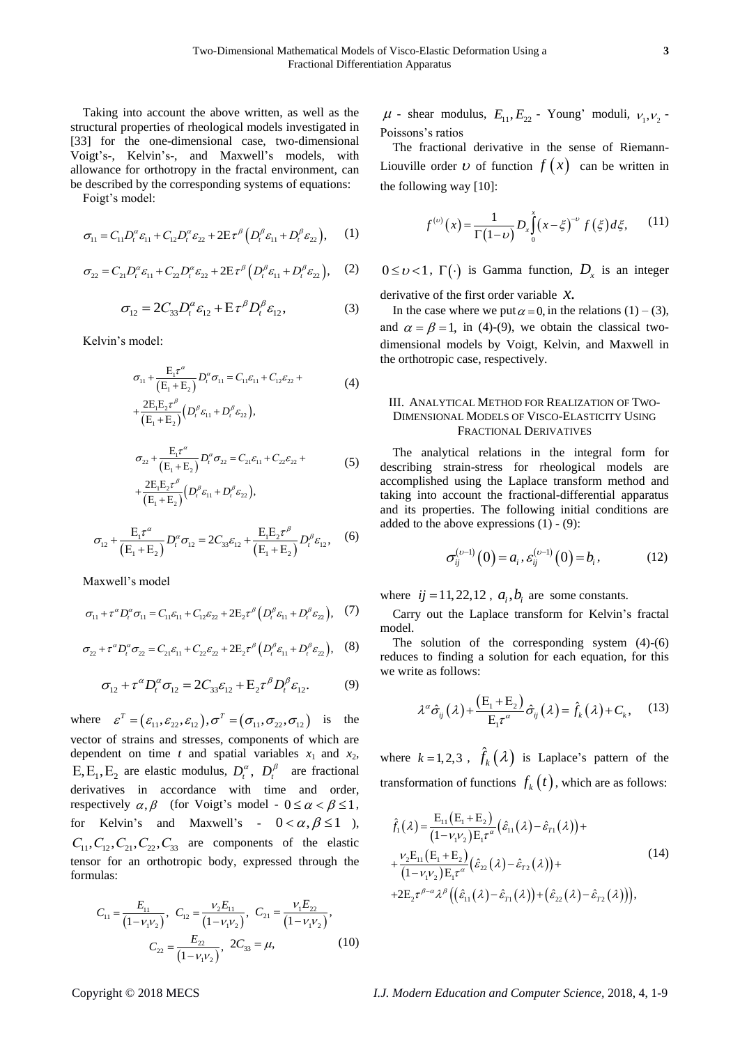Taking into account the above written, as well as the structural properties of rheological models investigated in [33] for the one-dimensional case, two-dimensional Voigt's-, Kelvin's-, and Maxwell's models, with allowance for orthotropy in the fractal environment, can be described by the corresponding systems of equations:

Foigt's model:

$$
\sigma_{11} = C_{11} D_t^{\alpha} \varepsilon_{11} + C_{12} D_t^{\alpha} \varepsilon_{22} + 2E \tau^{\beta} \left( D_t^{\beta} \varepsilon_{11} + D_t^{\beta} \varepsilon_{22} \right), \quad (1)
$$

$$
\sigma_{22} = C_{21} D_t^{\alpha} \varepsilon_{11} + C_{22} D_t^{\alpha} \varepsilon_{22} + 2E \tau^{\beta} \left( D_t^{\beta} \varepsilon_{11} + D_t^{\beta} \varepsilon_{22} \right), \quad (2)
$$

$$
\sigma_{12} = 2C_{33}D_t^{\alpha}\varepsilon_{12} + \mathbf{E}\tau^{\beta}D_t^{\beta}\varepsilon_{12},\tag{3}
$$

Kelvin's model:

$$
\sigma_{11} + \frac{E_1 \tau^{\alpha}}{(E_1 + E_2)} D_i^{\alpha} \sigma_{11} = C_{11} \varepsilon_{11} + C_{12} \varepsilon_{22} ++ \frac{2E_1 E_2 \tau^{\beta}}{(E_1 + E_2)} (D_i^{\beta} \varepsilon_{11} + D_i^{\beta} \varepsilon_{22}),
$$
\n(4)

$$
\sigma_{22} + \frac{E_1 \tau^a}{(E_1 + E_2)} D_t^a \sigma_{22} = C_{21} \varepsilon_{11} + C_{22} \varepsilon_{22} +
$$
  
+ 
$$
\frac{2E_1 E_2 \tau^{\beta}}{(E_1 + E_2)} (D_t^{\beta} \varepsilon_{11} + D_t^{\beta} \varepsilon_{22}),
$$
 (5)

$$
\sigma_{12} + \frac{E_1 \tau^{\alpha}}{(E_1 + E_2)} D_t^{\alpha} \sigma_{12} = 2C_{33} \varepsilon_{12} + \frac{E_1 E_2 \tau^{\beta}}{(E_1 + E_2)} D_t^{\beta} \varepsilon_{12}, \quad (6)
$$

Maxwell's model

$$
\sigma_{11} + \tau^{\alpha} D_i^{\alpha} \sigma_{11} = C_{11} \varepsilon_{11} + C_{12} \varepsilon_{22} + 2E_2 \tau^{\beta} \left( D_i^{\beta} \varepsilon_{11} + D_i^{\beta} \varepsilon_{22} \right), \tag{7}
$$

$$
\sigma_{22} + \tau^{\alpha} D_t^{\alpha} \sigma_{22} = C_{21} \varepsilon_{11} + C_{22} \varepsilon_{22} + 2E_2 \tau^{\beta} \left( D_t^{\beta} \varepsilon_{11} + D_t^{\beta} \varepsilon_{22} \right), \quad (8)
$$

$$
\sigma_{12} + \tau^{\alpha} D_t^{\alpha} \sigma_{12} = 2C_{33} \varepsilon_{12} + E_2 \tau^{\beta} D_t^{\beta} \varepsilon_{12}.
$$
 (9)

where  $\varepsilon^T = (\varepsilon_{11}, \varepsilon_{22}, \varepsilon_{12}), \sigma^T = (\sigma_{11}, \sigma_{22}, \sigma_{12})$  $T - (c, c, c)$  $\varepsilon^T = (\varepsilon_{11}, \varepsilon_{22}, \varepsilon_{12}), \sigma^T = (\sigma_{11}, \sigma_{22}, \sigma_{12})$  is the vector of strains and stresses, components of which are dependent on time *t* and spatial variables  $x_1$  and  $x_2$ ,  $E, E_1, E_2$  are elastic modulus,  $D_t^{\alpha}$ ,  $D_t^{\beta}$  are fractional derivatives in accordance with time and order, respectively  $\alpha, \beta$  (for Voigt's model -  $0 \le \alpha < \beta \le 1$ , for Kelvin's and Maxwell's -  $0 < \alpha, \beta \le 1$ ),  $C_{11}$ ,  $C_{12}$ ,  $C_{21}$ ,  $C_{22}$ ,  $C_{33}$  are components of the elastic tensor for an orthotropic body, expressed through the formulas:

$$
C_{11} = \frac{E_{11}}{(1 - \nu_1 \nu_2)}, \quad C_{12} = \frac{\nu_2 E_{11}}{(1 - \nu_1 \nu_2)}, \quad C_{21} = \frac{\nu_1 E_{22}}{(1 - \nu_1 \nu_2)},
$$

$$
C_{22} = \frac{E_{22}}{(1 - \nu_1 \nu_2)}, \quad 2C_{33} = \mu,
$$
(10)

 $\mu$  - shear modulus,  $E_{11}$ ,  $E_{22}$  - Young' moduli,  $v_1$ ,  $v_2$  -Poissons's ratios

The fractional derivative in the sense of Riemann-Liouville order *v* of function  $f(x)$  can be written in the following way [10]:

$$
f^{(\nu)}(x) = \frac{1}{\Gamma(1-\nu)} D_x \int_0^x (x - \xi)^{-\nu} f(\xi) d\xi, \qquad (11)
$$

 $0 \le \nu < 1$ ,  $\Gamma(\cdot)$  is Gamma function,  $D_{\nu}$  is an integer

derivative of the first order variable *x.*

In the case where we put  $\alpha = 0$ , in the relations (1) – (3), and  $\alpha = \beta = 1$ , in (4)-(9), we obtain the classical twodimensional models by Voigt, Kelvin, and Maxwell in the orthotropic case, respectively.

# III. ANALYTICAL METHOD FOR REALIZATION OF TWO-DIMENSIONAL MODELS OF VISCO-ELASTICITY USING FRACTIONAL DERIVATIVES

The analytical relations in the integral form for describing strain-stress for rheological models are accomplished using the Laplace transform method and taking into account the fractional-differential apparatus and its properties. The following initial conditions are added to the above expressions  $(1) - (9)$ :

$$
\sigma_{ij}^{(\nu-1)}(0) = a_i, \varepsilon_{ij}^{(\nu-1)}(0) = b_i, \qquad (12)
$$

where  $ij = 11, 22, 12$ ,  $a_i, b_i$  are some constants.

Carry out the Laplace transform for Kelvin's fractal model.

The solution of the corresponding system (4)-(6) reduces to finding a solution for each equation, for this we write as follows:

$$
\lambda^{\alpha}\hat{\sigma}_{ij}(\lambda) + \frac{\left(E_{1} + E_{2}\right)}{E_{1}\tau^{\alpha}}\hat{\sigma}_{ij}(\lambda) = \hat{f}_{k}(\lambda) + C_{k}, \quad (13)
$$

where  $k = 1, 2, 3$ ,  $\hat{f}_k(\lambda)$  is Laplace's pattern of the transformation of functions  $f_k(t)$ , which are as follows:

$$
\hat{f}_{1}(\lambda) = \frac{E_{11}(E_{1} + E_{2})}{(1 - \nu_{1} \nu_{2}) E_{1} \tau^{\alpha}} (\hat{\varepsilon}_{11}(\lambda) - \hat{\varepsilon}_{11}(\lambda)) + \n+ \frac{\nu_{2} E_{11}(E_{1} + E_{2})}{(1 - \nu_{1} \nu_{2}) E_{1} \tau^{\alpha}} (\hat{\varepsilon}_{22}(\lambda) - \hat{\varepsilon}_{12}(\lambda)) + \n+ 2E_{2} \tau^{\beta - \alpha} \lambda^{\beta} ((\hat{\varepsilon}_{11}(\lambda) - \hat{\varepsilon}_{11}(\lambda)) + (\hat{\varepsilon}_{22}(\lambda) - \hat{\varepsilon}_{12}(\lambda))),
$$
\n(14)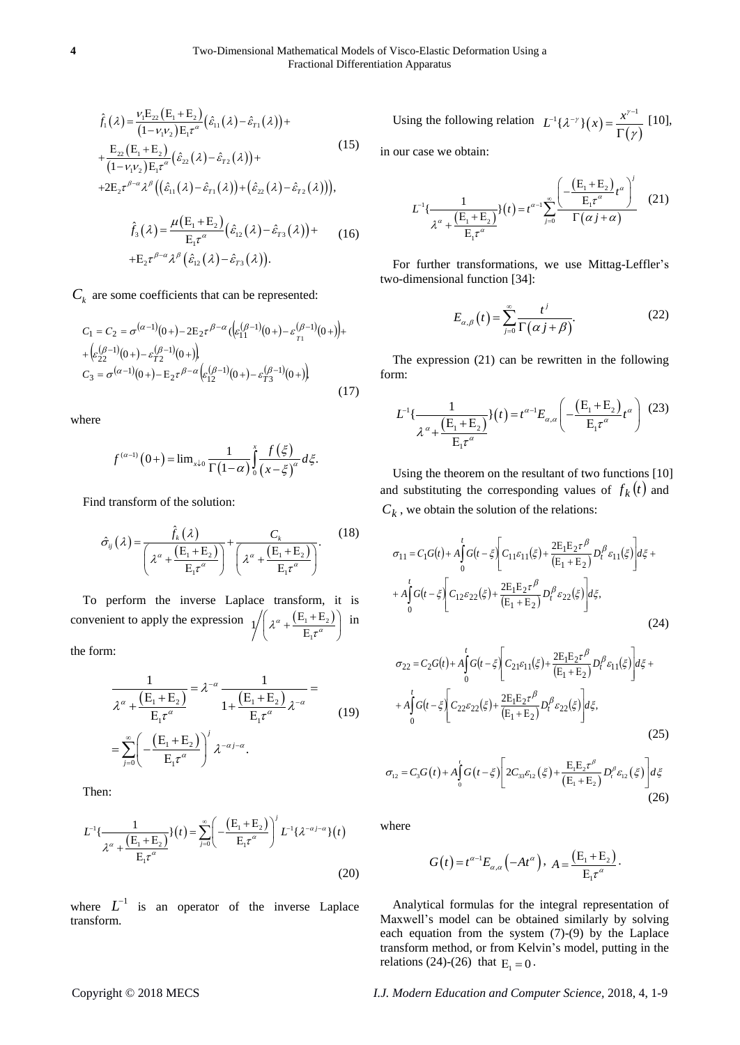$$
\hat{f}_{1}(\lambda) = \frac{\nu_{1}E_{22}(E_{1} + E_{2})}{(1 - \nu_{1}\nu_{2})E_{1}\tau^{\alpha}}(\hat{\varepsilon}_{11}(\lambda) - \hat{\varepsilon}_{r1}(\lambda)) + \n+ \frac{E_{22}(E_{1} + E_{2})}{(1 - \nu_{1}\nu_{2})E_{1}\tau^{\alpha}}(\hat{\varepsilon}_{22}(\lambda) - \hat{\varepsilon}_{r2}(\lambda)) + \n+ 2E_{2}\tau^{\beta-\alpha}\lambda^{\beta}((\hat{\varepsilon}_{11}(\lambda) - \hat{\varepsilon}_{r1}(\lambda)) + (\hat{\varepsilon}_{22}(\lambda) - \hat{\varepsilon}_{r2}(\lambda))),
$$
\n(15)

$$
\hat{f}_3(\lambda) = \frac{\mu(E_1 + E_2)}{E_1 \tau^{\alpha}} (\hat{\varepsilon}_{12}(\lambda) - \hat{\varepsilon}_{73}(\lambda)) +
$$
\n
$$
+ E_2 \tau^{\beta - \alpha} \lambda^{\beta} (\hat{\varepsilon}_{12}(\lambda) - \hat{\varepsilon}_{73}(\lambda)).
$$
\n(16)

 $C_k$  are some coefficients that can be represented:

$$
C_1 = C_2 = \sigma^{(\alpha-1)}(0+) - 2E_2 \tau^{\beta-\alpha} \left( \varepsilon_{11}^{(\beta-1)}(0+) - \varepsilon_{71}^{(\beta-1)}(0+) \right) + \left( \varepsilon_{22}^{(\beta-1)}(0+) - \varepsilon_{72}^{(\beta-1)}(0+) \right)
$$
  

$$
C_3 = \sigma^{(\alpha-1)}(0+) - E_2 \tau^{\beta-\alpha} \left( \varepsilon_{12}^{(\beta-1)}(0+) - \varepsilon_{73}^{(\beta-1)}(0+) \right)
$$
 (17)

where

$$
f^{(\alpha-1)}(0+) = \lim_{x \downarrow 0} \frac{1}{\Gamma(1-\alpha)} \int_{0}^{x} \frac{f(\xi)}{(x-\xi)^{\alpha}} d\xi.
$$

Find transform of the solution:

$$
\hat{\sigma}_{ij}(\lambda) = \frac{\hat{f}_k(\lambda)}{\left(\lambda^{\alpha} + \frac{(\mathbf{E}_1 + \mathbf{E}_2)}{\mathbf{E}_1 \tau^{\alpha}}\right)} + \frac{C_k}{\left(\lambda^{\alpha} + \frac{(\mathbf{E}_1 + \mathbf{E}_2)}{\mathbf{E}_1 \tau^{\alpha}}\right)}.
$$
(18)

To perform the inverse Laplace transform, it is convenient to apply the expression  $\sqrt{\left(2a + \frac{(E_1 + E_2)}{2}\right)}$ 1  $1/\left(\lambda^{\alpha} + \frac{(E_1 + E_2)}{E_1 \tau^{\alpha}}\right)$  i in

the form:

$$
\frac{1}{\lambda^{\alpha} + \frac{(E_{1} + E_{2})}{E_{1} \tau^{\alpha}}} = \lambda^{-\alpha} \frac{1}{1 + \frac{(E_{1} + E_{2})}{E_{1} \tau^{\alpha}}} =
$$
\n
$$
= \sum_{j=0}^{\infty} \left( -\frac{(E_{1} + E_{2})}{E_{1} \tau^{\alpha}} \right)^{j} \lambda^{-\alpha j - \alpha}.
$$
\n(19)

Then:

Then:  
\n
$$
L^{-1}\left\{\frac{1}{\lambda^{\alpha} + \frac{(E_1 + E_2)}{E_1 \tau^{\alpha}}}\right\}(t) = \sum_{j=0}^{\infty} \left(-\frac{(E_1 + E_2)}{E_1 \tau^{\alpha}}\right)^{j} L^{-1}\left\{\lambda^{-\alpha j - \alpha}\right\}(t)
$$
\n(20)

where  $L^{-1}$  is an operator of the inverse Laplace transform.

Using the following relation  $L^{-1}\{\lambda^{-\gamma}\}(x) = \frac{x^{\gamma}}{\Gamma(\gamma)}$  $L^{-1}\{\lambda^{-\gamma}\}(x) = \frac{x^{\gamma-1}}{B}$ γ  $\mathcal{L}^{-1}\{\mathcal{X}^{-\gamma}\}(x) = \frac{x^{\gamma-1}}{\Gamma(\gamma)}$ [10],

in our case we obtain:

$$
L^{-1}\left\{\frac{1}{\lambda^{\alpha} + \frac{(E_{1} + E_{2})}{E_{1}\tau^{\alpha}}}\right\}(t) = t^{\alpha - 1}\sum_{j=0}^{\infty} \frac{\left(-\frac{(E_{1} + E_{2})}{E_{1}\tau^{\alpha}}t^{\alpha}\right)^{j}}{\Gamma(\alpha j + \alpha)}
$$
(21)

For further transformations, we use Mittag-Leffler's two-dimensional function [34]:

$$
E_{\alpha,\beta}(t) = \sum_{j=0}^{\infty} \frac{t^j}{\Gamma(\alpha j + \beta)}.
$$
 (22)

The expression (21) can be rewritten in the following form:

$$
L^{-1}\left\{\frac{1}{\lambda^{\alpha} + \frac{(E_{1} + E_{2})}{E_{1}\tau^{\alpha}}}\right\}(t) = t^{\alpha - 1}E_{\alpha,\alpha}\left(-\frac{(E_{1} + E_{2})}{E_{1}\tau^{\alpha}}t^{\alpha}\right)
$$
(23)

Using the theorem on the resultant of two functions [10] and substituting the corresponding values of  $f_k(t)$  and  $C_k$ , we obtain the solution of the relations:

$$
\sigma_{11} = C_1 G(t) + A_0^{\dagger} G(t - \xi) \left[ C_{11} \varepsilon_{11} (\xi) + \frac{2 E_1 E_2 \tau^{\beta}}{(E_1 + E_2)} D_t^{\beta} \varepsilon_{11} (\xi) \right] d\xi ++ A_0^{\dagger} G(t - \xi) \left[ C_{12} \varepsilon_{22} (\xi) + \frac{2 E_1 E_2 \tau^{\beta}}{(E_1 + E_2)} D_t^{\beta} \varepsilon_{22} (\xi) \right] d\xi,
$$
\n(24)

$$
\sigma_{22} = C_{2}G(t) + A_{0}^{\dagger}G(t-\xi)\left[C_{21}\varepsilon_{11}(\xi) + \frac{2E_{1}E_{2}\tau^{\beta}}{(E_{1}+E_{2})}D_{t}^{\beta}\varepsilon_{11}(\xi)\right]d\xi ++ A_{0}^{\dagger}G(t-\xi)\left[C_{22}\varepsilon_{22}(\xi) + \frac{2E_{1}E_{2}\tau^{\beta}}{(E_{1}+E_{2})}D_{t}^{\beta}\varepsilon_{22}(\xi)\right]d\xi,
$$
\n(25)

$$
\sigma_{12} = C_3 G(t) + A \int_0^t G(t - \xi) \left[ 2C_{33} \varepsilon_{12}(\xi) + \frac{E_1 E_2 \tau^{\beta}}{(E_1 + E_2)} D_t^{\beta} \varepsilon_{12}(\xi) \right] d\xi
$$
\n(26)

where

$$
G(t) = t^{\alpha - 1} E_{\alpha, \alpha}(-At^{\alpha}), \ A = \frac{(E_1 + E_2)}{E_1 \tau^{\alpha}}
$$

.

Analytical formulas for the integral representation of Maxwell's model can be obtained similarly by solving each equation from the system (7)-(9) by the Laplace transform method, or from Kelvin's model, putting in the relations (24)-(26) that  $E_1 = 0$ .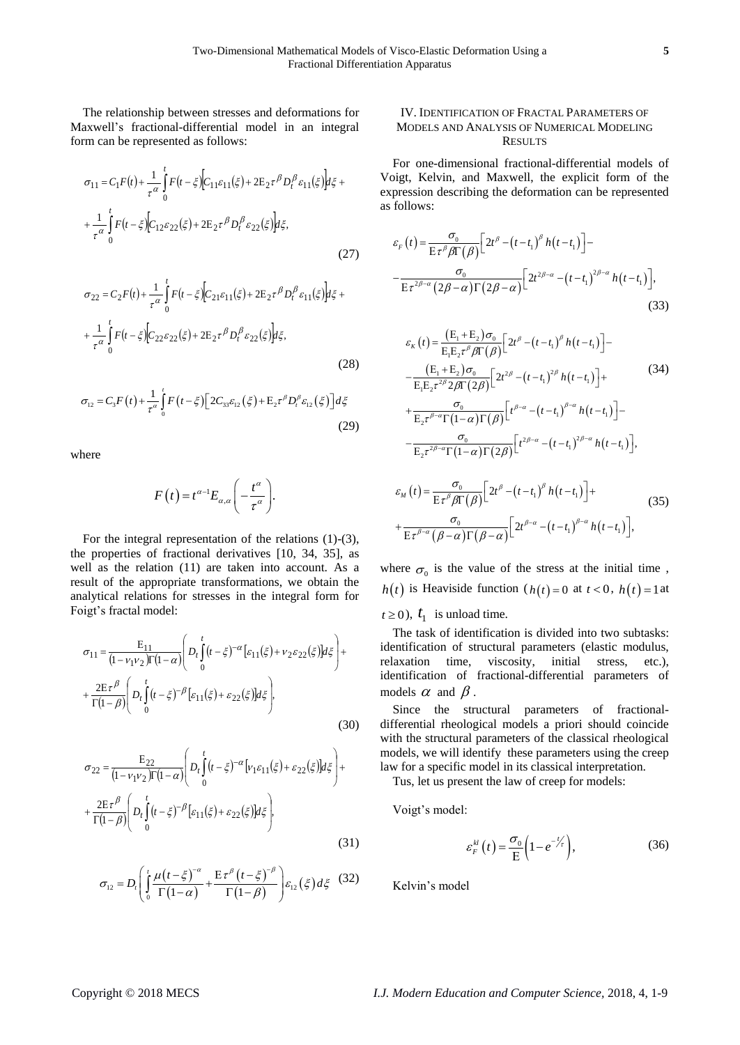The relationship between stresses and deformations for Maxwell's fractional-differential model in an integral form can be represented as follows:

$$
\sigma_{11} = C_1 F(t) + \frac{1}{\tau^{\alpha}} \int_0^t F(t - \xi) \Big[ C_{11} \varepsilon_{11}(\xi) + 2E_2 \tau^{\beta} D_t^{\beta} \varepsilon_{11}(\xi) \Big] d\xi +
$$
  
+ 
$$
\frac{1}{\tau^{\alpha}} \int_0^t F(t - \xi) \Big[ C_{12} \varepsilon_{22}(\xi) + 2E_2 \tau^{\beta} D_t^{\beta} \varepsilon_{22}(\xi) \Big] d\xi,
$$
(27)

$$
\sigma_{22} = C_2 F(t) + \frac{1}{\tau^{\alpha}} \int_0^t F(t - \xi) \Big[ C_{21} \varepsilon_{11}(\xi) + 2E_2 \tau^{\beta} D_t^{\beta} \varepsilon_{11}(\xi) \Big] d\xi +
$$
  
+ 
$$
\frac{1}{\tau^{\alpha}} \int_0^t F(t - \xi) \Big[ C_{22} \varepsilon_{22}(\xi) + 2E_2 \tau^{\beta} D_t^{\beta} \varepsilon_{22}(\xi) \Big] d\xi,
$$
 (28)

$$
\sigma_{12} = C_3 F(t) + \frac{1}{\tau^a} \int_0^t F(t - \xi) \Big[ 2C_{33} \varepsilon_{12}(\xi) + E_2 \tau^\beta D_t^\beta \varepsilon_{12}(\xi) \Big] d\xi
$$
\n(29)

where

$$
F(t) = t^{\alpha-1} E_{\alpha,\alpha} \left( -\frac{t^{\alpha}}{\tau^{\alpha}} \right).
$$

For the integral representation of the relations  $(1)-(3)$ , the properties of fractional derivatives [10, 34, 35], as well as the relation (11) are taken into account. As a result of the appropriate transformations, we obtain the analytical relations for stresses in the integral form for Foigt's fractal model:

$$
\sigma_{11} = \frac{E_{11}}{(1 - \nu_1 \nu_2) \Gamma(1 - \alpha)} \left( D_t \int_0^t (t - \xi)^{-\alpha} \left[ \varepsilon_{11}(\xi) + \nu_2 \varepsilon_{22}(\xi) \right] d\xi \right) +
$$
  
+ 
$$
\frac{2E \tau^{\beta}}{\Gamma(1 - \beta)} \left( D_t \int_0^t (t - \xi)^{-\beta} \left[ \varepsilon_{11}(\xi) + \varepsilon_{22}(\xi) \right] d\xi \right), \tag{30}
$$

$$
\sigma_{22} = \frac{E_{22}}{(1 - \nu_1 \nu_2)\Gamma(1 - \alpha)} \left( D_t \int_0^t (t - \xi)^{-\alpha} [\nu_1 \varepsilon_{11}(\xi) + \varepsilon_{22}(\xi)] d\xi \right) +
$$
  
+ 
$$
\frac{2E\tau^{\beta}}{\Gamma(1 - \beta)} \left( D_t \int_0^t (t - \xi)^{-\beta} [\varepsilon_{11}(\xi) + \varepsilon_{22}(\xi)] d\xi \right),
$$
(31)

$$
\sigma_{12} = D_t \left( \int_0^t \frac{\mu \left( t - \xi \right)^{-\alpha}}{\Gamma \left( 1 - \alpha \right)} + \frac{E \tau^{\beta} \left( t - \xi \right)^{-\beta}}{\Gamma \left( 1 - \beta \right)} \right) \varepsilon_{12} \left( \xi \right) d\xi \quad (32)
$$

# IV. IDENTIFICATION OF FRACTAL PARAMETERS OF MODELS AND ANALYSIS OF NUMERICAL MODELING **RESULTS**

For one-dimensional fractional-differential models of Voigt, Kelvin, and Maxwell, the explicit form of the expression describing the deformation can be represented as follows:

$$
\varepsilon_{F}(t) = \frac{\sigma_{0}}{\mathrm{E}\,\tau^{\beta}\beta\Gamma(\beta)} \Big[ 2t^{\beta} - \left(t - t_{1}\right)^{\beta} h\left(t - t_{1}\right) \Big] - \frac{\sigma_{0}}{\mathrm{E}\,\tau^{2\beta-\alpha}\left(2\beta-\alpha\right)\Gamma\left(2\beta-\alpha\right)} \Big[ 2t^{2\beta-\alpha} - \left(t - t_{1}\right)^{2\beta-\alpha} h\left(t - t_{1}\right) \Big],\tag{33}
$$

(33)  
\n
$$
\varepsilon_{K}(t) = \frac{(E_{1} + E_{2})\sigma_{0}}{E_{1}E_{2}\tau^{\beta}\beta\Gamma(\beta)} \Big[ 2t^{\beta} - (t - t_{1})^{\beta} h(t - t_{1}) \Big] -
$$
\n
$$
- \frac{(E_{1} + E_{2})\sigma_{0}}{E_{1}E_{2}\tau^{\beta/2}\beta\Gamma(2\beta)} \Big[ 2t^{2\beta} - (t - t_{1})^{2\beta} h(t - t_{1}) \Big] +
$$
\n
$$
+ \frac{\sigma_{0}}{E_{2}\tau^{\beta-\alpha}\Gamma(1-\alpha)\Gamma(\beta)} \Big[ t^{\beta-\alpha} - (t - t_{1})^{\beta-\alpha} h(t - t_{1}) \Big] -
$$
\n
$$
- \frac{\sigma_{0}}{E_{2}\tau^{\beta-\alpha}\Gamma(1-\alpha)\Gamma(2\beta)} \Big[ t^{\beta-\alpha} - (t - t_{1})^{2\beta-\alpha} h(t - t_{1}) \Big],
$$
\n
$$
\varepsilon_{M}(t) = \frac{\sigma_{0}}{E\tau^{\beta}\beta\Gamma(\beta)} \Big[ 2t^{\beta} - (t - t_{1})^{\beta} h(t - t_{1}) \Big] +
$$
\n
$$
+ \frac{\sigma_{0}}{E\tau^{\beta-\alpha}(\beta-\alpha)\Gamma(\beta-\alpha)} \Big[ 2t^{\beta-\alpha} - (t - t_{1})^{\beta-\alpha} h(t - t_{1}) \Big],
$$
\n(35)

where 
$$
\sigma_0
$$
 is the value of the stress at the initial time,  
\n $h(t)$  is Heaviside function  $(h(t)) = 0$  at  $t < 0$ ,  $h(t) = 1$  at

 $t \ge 0$ ),  $t_1$  is unload time.

The task of identification is divided into two subtasks: identification of structural parameters (elastic modulus, relaxation time, viscosity, initial stress, etc.), identification of fractional-differential parameters of models  $\alpha$  and  $\beta$ .

Since the structural parameters of fractionaldifferential rheological models a priori should coincide with the structural parameters of the classical rheological models, we will identify these parameters using the creep law for a specific model in its classical interpretation.

Tus, let us present the law of creep for models:

Voigt's model:

$$
\varepsilon_F^{kl}(t) = \frac{\sigma_0}{E} \left( 1 - e^{-\frac{t}{\tau}} \right),\tag{36}
$$

Kelvin's model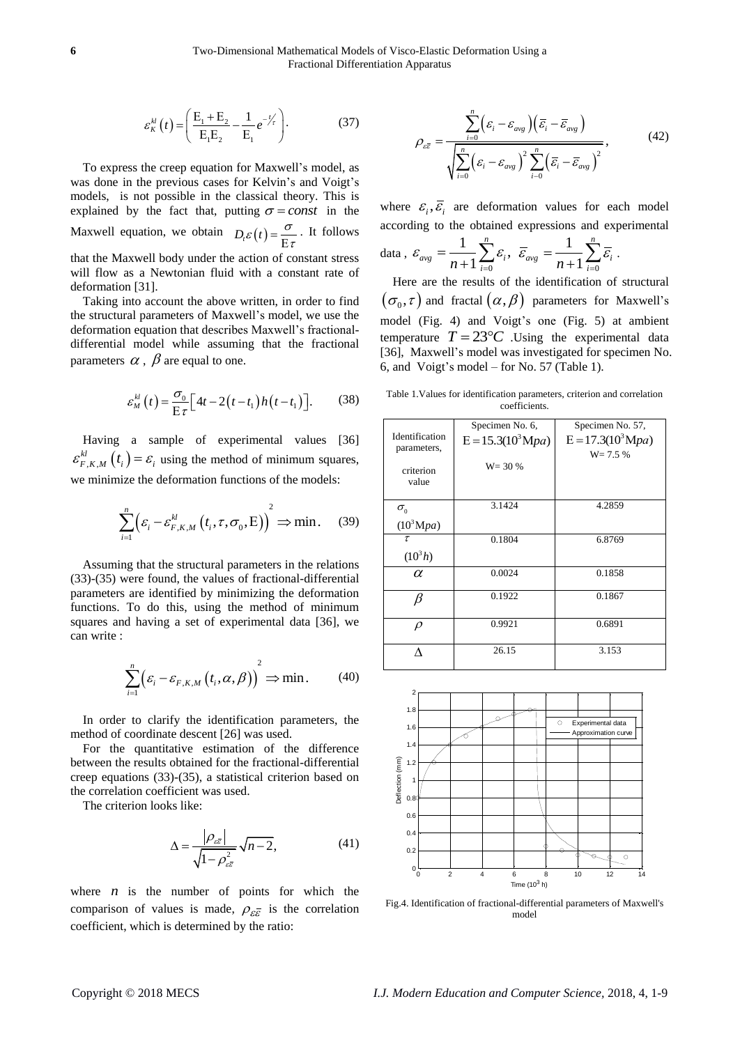$$
\varepsilon_K^{kl}(t) = \left(\frac{E_1 + E_2}{E_1 E_2} - \frac{1}{E_1} e^{-\frac{t}{\tau}}\right).
$$
 (37)

To express the creep equation for Maxwell's model, as was done in the previous cases for Kelvin's and Voigt's models, is not possible in the classical theory. This is explained by the fact that, putting  $\sigma = const$  in the Maxwell equation, we obtain  $D_t \varepsilon(t) = \frac{\sigma}{E \tau}$ . It follows that the Maxwell body under the action of constant stress will flow as a Newtonian fluid with a constant rate of deformation [31].

Taking into account the above written, in order to find the structural parameters of Maxwell's model, we use the deformation equation that describes Maxwell's fractionaldifferential model while assuming that the fractional parameters  $\alpha$  ,  $\beta$  are equal to one.

$$
\varepsilon_M^{kl}(t) = \frac{\sigma_0}{\mathrm{E}\,\tau} \Big[ 4t - 2\big(t - t_1\big)h\big(t - t_1\big)\Big].\tag{38}
$$

Having a sample of experimental values [36]  $\mathcal{E}_{F,K,M}^{kl}(t_i) = \mathcal{E}_i$  using the method of minimum squares, we minimize the deformation functions of the models:

$$
\sum_{i=1}^{n} \left( \varepsilon_{i} - \varepsilon_{F,K,M}^{kl} \left( t_{i}, \tau, \sigma_{0}, E \right) \right)^{2} \Rightarrow \min. \quad (39)
$$

Assuming that the structural parameters in the relations (33)-(35) were found, the values of fractional-differential parameters are identified by minimizing the deformation functions. To do this, using the method of minimum squares and having a set of experimental data [36], we can write :

$$
\sum_{i=1}^{n} \left( \varepsilon_{i} - \varepsilon_{F,K,M} \left( t_{i}, \alpha, \beta \right) \right)^{2} \Rightarrow \min. \tag{40}
$$

In order to clarify the identification parameters, the method of coordinate descent [26] was used.

For the quantitative estimation of the difference between the results obtained for the fractional-differential creep equations (33)-(35), a statistical criterion based on the correlation coefficient was used.

The criterion looks like:

$$
\Delta = \frac{\left|\rho_{\varepsilon\overline{\varepsilon}}\right|}{\sqrt{1 - \rho_{\varepsilon\overline{\varepsilon}}^2}} \sqrt{n - 2},\tag{41}
$$

where  $n$  is the number of points for which the comparison of values is made,  $\rho_{\varepsilon\overline{\varepsilon}}$  is the correlation coefficient, which is determined by the ratio:

$$
\rho_{\varepsilon\overline{\varepsilon}} = \frac{\sum_{i=0}^{n} \left( \varepsilon_{i} - \varepsilon_{avg} \right) \left( \overline{\varepsilon}_{i} - \overline{\varepsilon}_{avg} \right)}{\sqrt{\sum_{i=0}^{n} \left( \varepsilon_{i} - \varepsilon_{avg} \right)^{2} \sum_{i=0}^{n} \left( \overline{\varepsilon}_{i} - \overline{\varepsilon}_{avg} \right)^{2}}},
$$
(42)

where  $\varepsilon_i$ ,  $\overline{\varepsilon}_i$  are deformation values for each model according to the obtained expressions and experimental data , 0  $\frac{1}{\cdot} \sum_{i=1}^{n} \varepsilon_{i}$ 1 *n*  $_{avg}$  -  $\frac{}{n+1} \sum_{i=0}$   $\epsilon_i$  $\mathcal{E}_{\text{ave}} = \frac{1}{\sqrt{2\pi}} \sum_i \mathcal{E}_i,$ =  $\equiv$  $\frac{1}{n+1}\sum_{i=0}^n \mathcal{E}_i, \ \ \overline{\mathcal{E}}_{avg} = \frac{1}{n+1}\sum_{i=0}^n$ 1 1 *n*  $_{avg}$  -  $\frac{}{n+1}$   $\sum_{i=0}$   $\epsilon_i$  $\overline{\mathcal{E}}_{ave} = \frac{1}{\sqrt{2\pi}} \sum_i \overline{\mathcal{E}}_i$ .  $\overline{a}$  $\equiv$  $\frac{1}{+1}\sum_{i=0}\overline{\mathcal{E}}_i$ . Here are the results of the identification of structural

 $(\sigma_{_0},\tau)$  and fractal  $(\alpha,\beta)$  parameters for Maxwell's model (Fig. 4) and Voigt's one (Fig. 5) at ambient temperature  $T = 23^{\circ}C$  Using the experimental data [36], Maxwell's model was investigated for specimen No. 6, and Voigt's model – for No. 57 (Table 1).

Table 1.Values for identification parameters, criterion and correlation coefficients.

|                | Specimen No. 6,      | Specimen No. 57,     |
|----------------|----------------------|----------------------|
| Identification | $E = 15.3(10^3 Mpa)$ | $E = 17.3(10^3 Mpa)$ |
| parameters,    |                      | $W = 7.5 %$          |
|                | $W = 30 %$           |                      |
| criterion      |                      |                      |
| value          |                      |                      |
|                |                      |                      |
| $\sigma_{0}$   | 3.1424               | 4.2859               |
| $(10^3 Mpa)$   |                      |                      |
| τ              | 0.1804               | 6.8769               |
| $(10^3 h)$     |                      |                      |
| α              | 0.0024               | 0.1858               |
|                |                      |                      |
| β              | 0.1922               | 0.1867               |
|                |                      |                      |
| $\rho$         | 0.9921               | 0.6891               |
|                |                      |                      |
|                | 26.15                | 3.153                |
|                |                      |                      |



Fig.4. Identification of fractional-differential parameters of Maxwell's model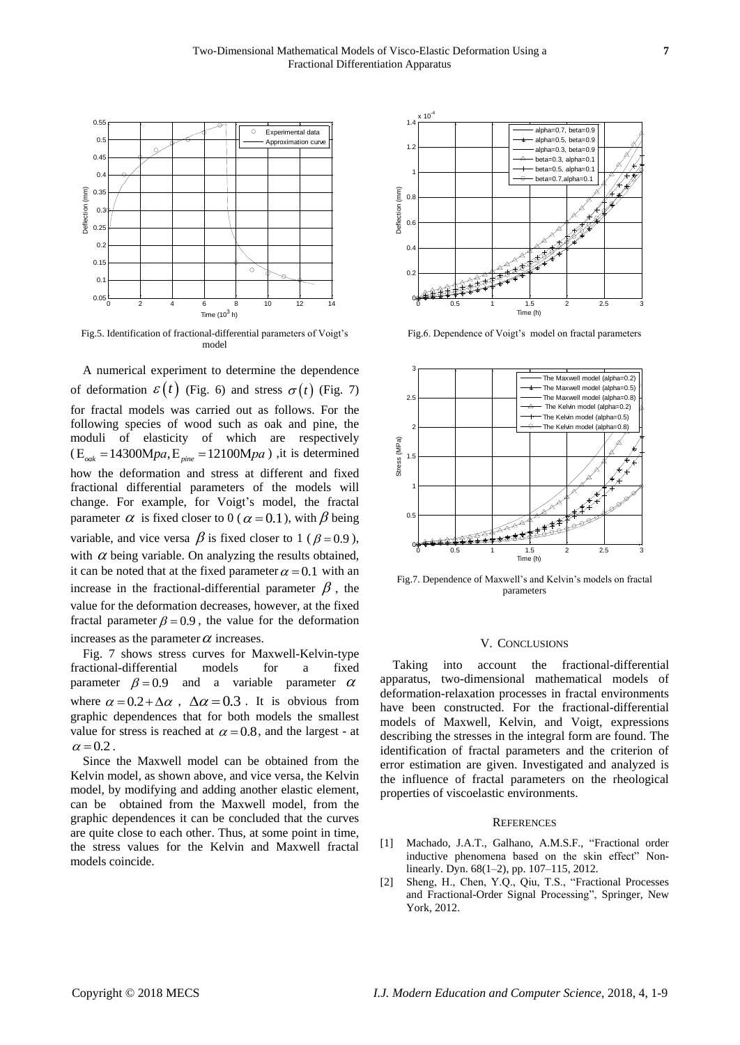

Fig.5. Identification of fractional-differential parameters of Voigt's model

A numerical experiment to determine the dependence of deformation  $\varepsilon(t)$  (Fig. 6) and stress  $\sigma(t)$  (Fig. 7) for fractal models was carried out as follows. For the following species of wood such as oak and pine, the moduli of elasticity of which are respectively  $(E_{\text{oak}} = 14300 \text{M}pa, E_{\text{pine}} = 12100 \text{M}pa)$ , it is determined  $(E_{\text{est}} = 14300 \text{M}pa, E_{\text{miss}} = 12100 \text{M}pa)$ , it is determined how the deformation and stress at different and fixed fractional differential parameters of the models will change. For example, for Voigt's model, the fractal parameter  $\alpha$  is fixed closer to 0 ( $\alpha$  = 0.1), with  $\beta$  being variable, and vice versa  $\beta$  is fixed closer to 1 ( $\beta$  = 0.9), with  $\alpha$  being variable. On analyzing the results obtained, it can be noted that at the fixed parameter  $\alpha = 0.1$  with an increase in the fractional-differential parameter  $\beta$ , the value for the deformation decreases, however, at the fixed fractal parameter  $\beta = 0.9$ , the value for the deformation increases as the parameter  $\alpha$  increases.

Fig. 7 shows stress curves for Maxwell-Kelvin-type fractional-differential models for a fixed parameter  $\beta = 0.9$  and a variable parameter parameter  $\alpha$ where  $\alpha = 0.2 + \Delta \alpha$ ,  $\Delta \alpha = 0.3$ . It is obvious from graphic dependences that for both models the smallest value for stress is reached at  $\alpha = 0.8$ , and the largest - at  $\alpha$  = 0.2.

Since the Maxwell model can be obtained from the Kelvin model, as shown above, and vice versa, the Kelvin model, by modifying and adding another elastic element, can be obtained from the Maxwell model, from the graphic dependences it can be concluded that the curves are quite close to each other. Thus, at some point in time, the stress values for the Kelvin and Maxwell fractal models coincide.



Fig.6. Dependence of Voigt's model on fractal parameters



Fig.7. Dependence of Maxwell's and Kelvin's models on fractal parameters

### V. CONCLUSIONS

Taking into account the fractional-differential apparatus, two-dimensional mathematical models of deformation-relaxation processes in fractal environments have been constructed. For the fractional-differential models of Maxwell, Kelvin, and Voigt, expressions describing the stresses in the integral form are found. The identification of fractal parameters and the criterion of error estimation are given. Investigated and analyzed is the influence of fractal parameters on the rheological properties of viscoelastic environments.

### **REFERENCES**

- [1] Machado, J.A.T., Galhano, A.M.S.F., "Fractional order inductive phenomena based on the skin effect" Nonlinearly. Dyn. 68(1–2), pp. 107–115, 2012.
- [2] Sheng, H., Chen, Y.Q., Qiu, T.S., "Fractional Processes and Fractional-Order Signal Processing", Springer, New York, 2012.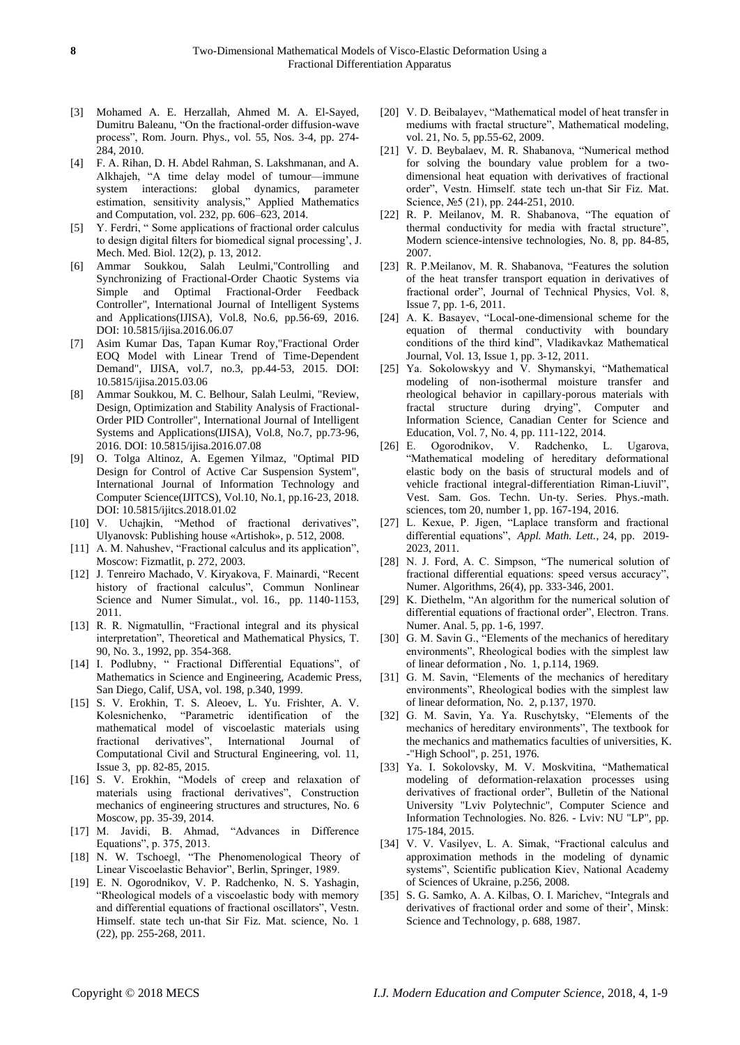- [3] Mohamed A. E. Herzallah, Ahmed M. A. El-Sayed, Dumitru Baleanu, "On the fractional-order diffusion-wave process", Rom. Journ. Phys., vol. 55, Nos. 3-4, pp. 274- 284, 2010.
- [4] F. A. Rihan, D. H. Abdel Rahman, S. Lakshmanan, and A. Alkhajeh, "A time delay model of tumour—immune system interactions: global dynamics, parameter estimation, sensitivity analysis," Applied Mathematics and Computation, vol. 232, pp. 606–623, 2014.
- [5] Y. Ferdri, " Some applications of fractional order calculus to design digital filters for biomedical signal processing', J. Mech. Med. Biol. 12(2), p. 13, 2012.
- [6] Ammar Soukkou, Salah Leulmi,"Controlling and Synchronizing of Fractional-Order Chaotic Systems via Simple and Optimal Fractional-Order Feedback Controller", International Journal of Intelligent Systems and Applications(IJISA), Vol.8, No.6, pp.56-69, 2016. DOI: 10.5815/ijisa.2016.06.07
- [7] Asim Kumar Das, Tapan Kumar Roy,"Fractional Order EOQ Model with Linear Trend of Time-Dependent Demand", IJISA, vol.7, no.3, pp.44-53, 2015. DOI: 10.5815/ijisa.2015.03.06
- [8] Ammar Soukkou, M. C. Belhour, Salah Leulmi, "Review, Design, Optimization and Stability Analysis of Fractional-Order PID Controller", International Journal of Intelligent Systems and Applications(IJISA), Vol.8, No.7, pp.73-96, 2016. DOI: 10.5815/ijisa.2016.07.08
- [9] O. Tolga Altinoz, A. Egemen Yilmaz, "Optimal PID Design for Control of Active Car Suspension System", International Journal of Information Technology and Computer Science(IJITCS), Vol.10, No.1, pp.16-23, 2018. DOI: 10.5815/ijitcs.2018.01.02
- [10] V. Uchajkin, "Method of fractional derivatives", Ulyanovsk: Publishing house «Artishok», p. 512, 2008.
- [11] A. M. Nahushev, "Fractional calculus and its application", Moscow: Fizmatlit, p. 272, 2003.
- [12] J. Tenreiro Machado, V. Kiryakova, F. Mainardi, "Recent history of fractional calculus", Commun Nonlinear Science and Numer Simulat., vol. 16., pp. 1140-1153, 2011.
- [13] R. R. Nigmatullin, "Fractional integral and its physical interpretation", Theoretical and Mathematical Physics, T. 90, No. 3., 1992, pp. 354-368.
- [14] I. Podlubny, " Fractional Differential Equations", of Mathematics in Science and Engineering, Academic Press, San Diego, Calif, USA, vol. 198, p.340, 1999.
- [15] S. V. Erokhin, T. S. Aleoev, L. Yu. Frishter, A. V. Kolesnichenko, "Parametric identification of the mathematical model of viscoelastic materials using fractional derivatives", International Journal of Computational Civil and Structural Engineering, vol. 11, Issue 3, pp. 82-85, 2015.
- [16] S. V. Erokhin, "Models of creep and relaxation of materials using fractional derivatives", Construction mechanics of engineering structures and structures, No. 6 Moscow, pp. 35-39, 2014.
- [17] M. Javidi, B. Ahmad, "Advances in Difference Equations", p. 375, 2013.
- [18] N. W. Tschoegl, "The Phenomenological Theory of Linear Viscoelastic Behavior", Berlin, Springer, 1989.
- [19] E. N. Ogorodnikov, V. P. Radchenko, N. S. Yashagin, "Rheological models of a viscoelastic body with memory and differential equations of fractional oscillators", Vestn. Himself. state tech un-that Sir Fiz. Mat. science, No. 1 (22), pp. 255-268, 2011.
- [20] V. D. Beibalayev, "Mathematical model of heat transfer in mediums with fractal structure", Mathematical modeling, vol. 21, No. 5, pp.55-62, 2009.
- [21] V. D. Beybalaev, M. R. Shabanova, "Numerical method for solving the boundary value problem for a twodimensional heat equation with derivatives of fractional order", Vestn. Himself. state tech un-that Sir Fiz. Mat. Science, №5 (21), pp. 244-251, 2010.
- [22] R. P. Meilanov, M. R. Shabanova, "The equation of thermal conductivity for media with fractal structure", Modern science-intensive technologies, No. 8, pp. 84-85, 2007.
- [23] R. P.Meilanov, M. R. Shabanova, "Features the solution of the heat transfer transport equation in derivatives of fractional order", Journal of Technical Physics, Vol. 8, Issue 7, pp. 1-6, 2011.
- [24] A. K. Basayev, "Local-one-dimensional scheme for the equation of thermal conductivity with boundary conditions of the third kind", Vladikavkaz Mathematical Journal, Vol. 13, Issue 1, pp. 3-12, 2011.
- [25] Ya. Sokolowskyy and V. Shymanskyi, "Mathematical modeling of non-isothermal moisture transfer and rheological behavior in capillary-porous materials with fractal structure during drying", Computer and Information Science, Canadian Center for Science and Education, Vol. 7, No. 4, pp. 111-122, 2014.
- [26] E. Ogorodnikov, V. Radchenko, L. Ugarova, "Mathematical modeling of hereditary deformational elastic body on the basis of structural models and of vehicle fractional integral-differentiation Riman-Liuvil", Vest. Sam. Gos. Techn. Un-ty. Series. Phys.-math. sciences, tom 20, number 1, pp. 167-194, 2016.
- [27] L. Kexue, P. Jigen, "Laplace transform and fractional differential equations", *Appl. Math. Lett.*, 24, pp. 2019- 2023, 2011.
- [28] N. J. Ford, A. C. Simpson, "The numerical solution of fractional differential equations: speed versus accuracy", Numer. Algorithms, 26(4), pp. 333-346, 2001.
- [29] K. Diethelm, "An algorithm for the numerical solution of differential equations of fractional order", Electron. Trans. Numer. Anal. 5, pp. 1-6, 1997.
- [30] G. M. Savin G., "Elements of the mechanics of hereditary environments", Rheological bodies with the simplest law of linear deformation , No. 1, p.114, 1969.
- [31] G. M. Savin, "Elements of the mechanics of hereditary environments", Rheological bodies with the simplest law of linear deformation, No. 2, p.137, 1970.
- [32] G. M. Savin, Ya. Ya. Ruschytsky, "Elements of the mechanics of hereditary environments", The textbook for the mechanics and mathematics faculties of universities, K. -"High School", p. 251, 1976.
- [33] Ya. I. Sokolovsky, M. V. Moskvitina, "Mathematical modeling of deformation-relaxation processes using derivatives of fractional order", Bulletin of the National University "Lviv Polytechnic", Computer Science and Information Technologies. No. 826. - Lviv: NU "LP", pp. 175-184, 2015.
- [34] V. V. Vasilyev, L. A. Simak, "Fractional calculus and approximation methods in the modeling of dynamic systems", Scientific publication Kiev, National Academy of Sciences of Ukraine, p.256, 2008.
- [35] S. G. Samko, A. A. Kilbas, O. I. Marichev, "Integrals and derivatives of fractional order and some of their', Minsk: Science and Technology, p. 688, 1987.